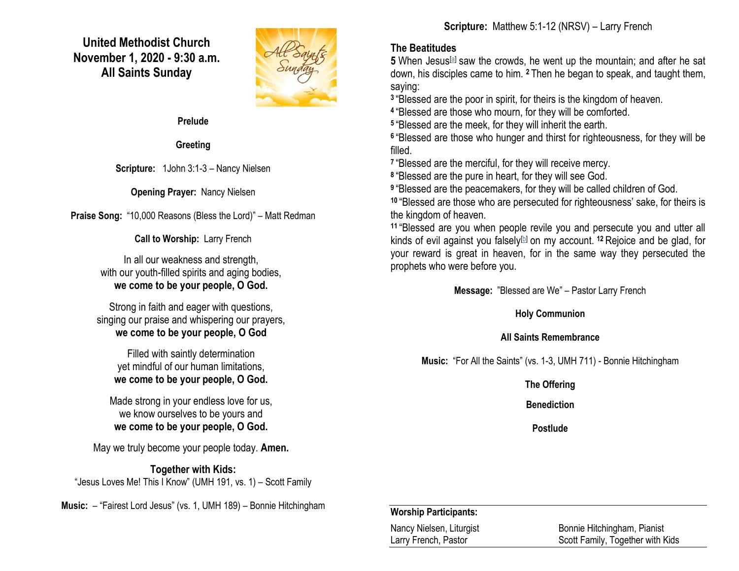**United Methodist Church November 1, 2020 - 9:30 a.m. All Saints Sunday**



**Prelude** 

**Greeting**

**Scripture:** 1John 3:1-3 – Nancy Nielsen

**Opening Prayer:** Nancy Nielsen

**Praise Song:** "10,000 Reasons (Bless the Lord)" – Matt Redman

**Call to Worship:** Larry French

In all our weakness and strength, with our youth-filled spirits and aging bodies, **we come to be your people, O God.**

Strong in faith and eager with questions, singing our praise and whispering our prayers, **we come to be your people, O God**

Filled with saintly determination yet mindful of our human limitations, **we come to be your people, O God.**

Made strong in your endless love for us, we know ourselves to be yours and **we come to be your people, O God.**

May we truly become your people today. **Amen.**

**Together with Kids:** "Jesus Loves Me! This I Know" (UMH 191, vs. 1) – Scott Family

**Music:** – "Fairest Lord Jesus" (vs. 1, UMH 189) – Bonnie Hitchingham

# **The Beatitudes**

**5** When Jesus[\[a\]](https://www.biblegateway.com/passage/?search=Matthew+5%3A1-12&version=NRSV#fen-NRSV-23236a) saw the crowds, he went up the mountain; and after he sat down, his disciples came to him. **<sup>2</sup>** Then he began to speak, and taught them, saying:

**3** "Blessed are the poor in spirit, for theirs is the kingdom of heaven.

**4** "Blessed are those who mourn, for they will be comforted.

**5** "Blessed are the meek, for they will inherit the earth.

**6** "Blessed are those who hunger and thirst for righteousness, for they will be filled.

**7** "Blessed are the merciful, for they will receive mercy.

**8** "Blessed are the pure in heart, for they will see God.

**9** "Blessed are the peacemakers, for they will be called children of God.

**<sup>10</sup>** "Blessed are those who are persecuted for righteousness' sake, for theirs is the kingdom of heaven.

**<sup>11</sup>** "Blessed are you when people revile you and persecute you and utter all kinds of evil against you falsely[\[b\]](https://www.biblegateway.com/passage/?search=Matthew+5%3A1-12&version=NRSV#fen-NRSV-23246b) on my account. **<sup>12</sup>** Rejoice and be glad, for your reward is great in heaven, for in the same way they persecuted the prophets who were before you.

**Message:** "Blessed are We" – Pastor Larry French

**Holy Communion**

## **All Saints Remembrance**

**Music:** "For All the Saints" (vs. 1-3, UMH 711) - Bonnie Hitchingham

**The Offering**

**Benediction**

**Postlude**

## **Worship Participants:**

Nancy Nielsen, Liturgist Bonnie Hitchingham, Pianist Larry French, Pastor **Scott Family, Together with Kids**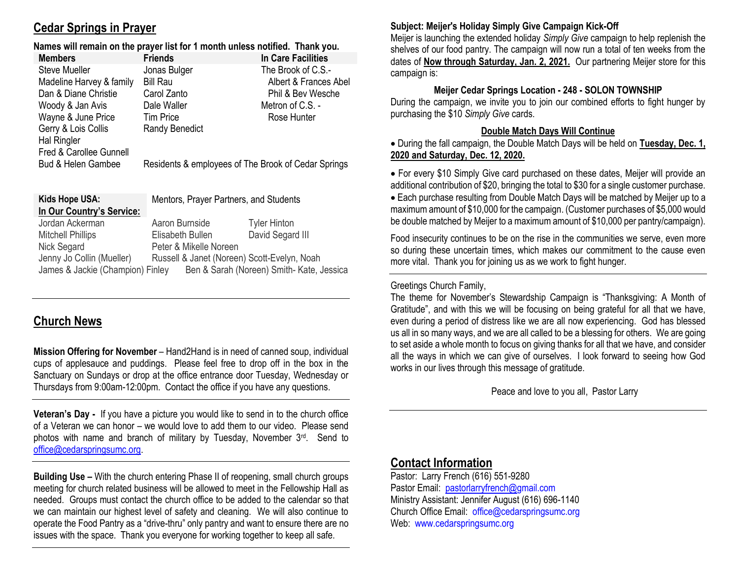# **Cedar Springs in Prayer**

#### **Names will remain on the prayer list for 1 month unless notified. Thank you.**

| <b>Members</b>           | <b>Friends</b>                                      | In Care Facilities    |
|--------------------------|-----------------------------------------------------|-----------------------|
| <b>Steve Mueller</b>     | Jonas Bulger                                        | The Brook of C.S.-    |
| Madeline Harvey & family | <b>Bill Rau</b>                                     | Albert & Frances Abel |
| Dan & Diane Christie     | Carol Zanto                                         | Phil & Bev Wesche     |
| Woody & Jan Avis         | Dale Waller                                         | Metron of C.S. -      |
| Wayne & June Price       | <b>Tim Price</b>                                    | Rose Hunter           |
| Gerry & Lois Collis      | <b>Randy Benedict</b>                               |                       |
| <b>Hal Ringler</b>       |                                                     |                       |
| Fred & Carollee Gunnell  |                                                     |                       |
| Bud & Helen Gambee       | Residents & employees of The Brook of Cedar Springs |                       |

| Kids Hope USA:                   | Mentors, Prayer Partners, and Students      |                                           |
|----------------------------------|---------------------------------------------|-------------------------------------------|
| In Our Country's Service:        |                                             |                                           |
| Jordan Ackerman                  | Aaron Burnside                              | <b>Tyler Hinton</b>                       |
| <b>Mitchell Phillips</b>         | Elisabeth Bullen                            | David Segard III                          |
| Nick Segard                      | Peter & Mikelle Noreen                      |                                           |
| Jenny Jo Collin (Mueller)        | Russell & Janet (Noreen) Scott-Evelyn, Noah |                                           |
| James & Jackie (Champion) Finley |                                             | Ben & Sarah (Noreen) Smith- Kate, Jessica |

# **Church News**

**Mission Offering for November** – Hand2Hand is in need of canned soup, individual cups of applesauce and puddings. Please feel free to drop off in the box in the Sanctuary on Sundays or drop at the office entrance door Tuesday, Wednesday or Thursdays from 9:00am-12:00pm. Contact the office if you have any questions.

**Veteran's Day -** If you have a picture you would like to send in to the church office of a Veteran we can honor – we would love to add them to our video. Please send photos with name and branch of military by Tuesday, November 3rd. Send to [office@cedarspringsumc.org.](mailto:office@cedarspringsumc.org)

**Building Use –** With the church entering Phase II of reopening, small church groups meeting for church related business will be allowed to meet in the Fellowship Hall as needed. Groups must contact the church office to be added to the calendar so that we can maintain our highest level of safety and cleaning. We will also continue to operate the Food Pantry as a "drive-thru" only pantry and want to ensure there are no issues with the space. Thank you everyone for working together to keep all safe.

#### **Subject: Meijer's Holiday Simply Give Campaign Kick-Off**

Meijer is launching the extended holiday *Simply Give* campaign to help replenish the shelves of our food pantry. The campaign will now run a total of ten weeks from the dates of **Now through Saturday, Jan. 2, 2021.** Our partnering Meijer store for this campaign is:

#### **Meijer Cedar Springs Location - 248 - SOLON TOWNSHIP**

During the campaign, we invite you to join our combined efforts to fight hunger by purchasing the \$10 *Simply Give* cards.

#### **Double Match Days Will Continue**

 During the fall campaign, the Double Match Days will be held on **Tuesday, Dec. 1, 2020 and Saturday, Dec. 12, 2020.**

 For every \$10 Simply Give card purchased on these dates, Meijer will provide an additional contribution of \$20, bringing the total to \$30 for a single customer purchase.

 Each purchase resulting from Double Match Days will be matched by Meijer up to a maximum amount of \$10,000 for the campaign. (Customer purchases of \$5,000 would be double matched by Meijer to a maximum amount of \$10,000 per pantry/campaign).

Food insecurity continues to be on the rise in the communities we serve, even more so during these uncertain times, which makes our commitment to the cause even more vital. Thank you for joining us as we work to fight hunger.

#### Greetings Church Family,

The theme for November's Stewardship Campaign is "Thanksgiving: A Month of Gratitude", and with this we will be focusing on being grateful for all that we have, even during a period of distress like we are all now experiencing. God has blessed us all in so many ways, and we are all called to be a blessing for others. We are going to set aside a whole month to focus on giving thanks for all that we have, and consider all the ways in which we can give of ourselves. I look forward to seeing how God works in our lives through this message of gratitude.

Peace and love to you all, Pastor Larry

# **Contact Information**

Pastor: Larry French (616) 551-9280 Pastor Email: [pastorlarryfrench@g](mailto:pastorlarryfrench@)mail.com Ministry Assistant: Jennifer August (616) 696-1140 Church Office Email: [office@cedarspringsumc.org](mailto:office@cedarspringsumc.org) Web: [www.cedarspringsumc.org](http://www.cedarspringsumc.org/)